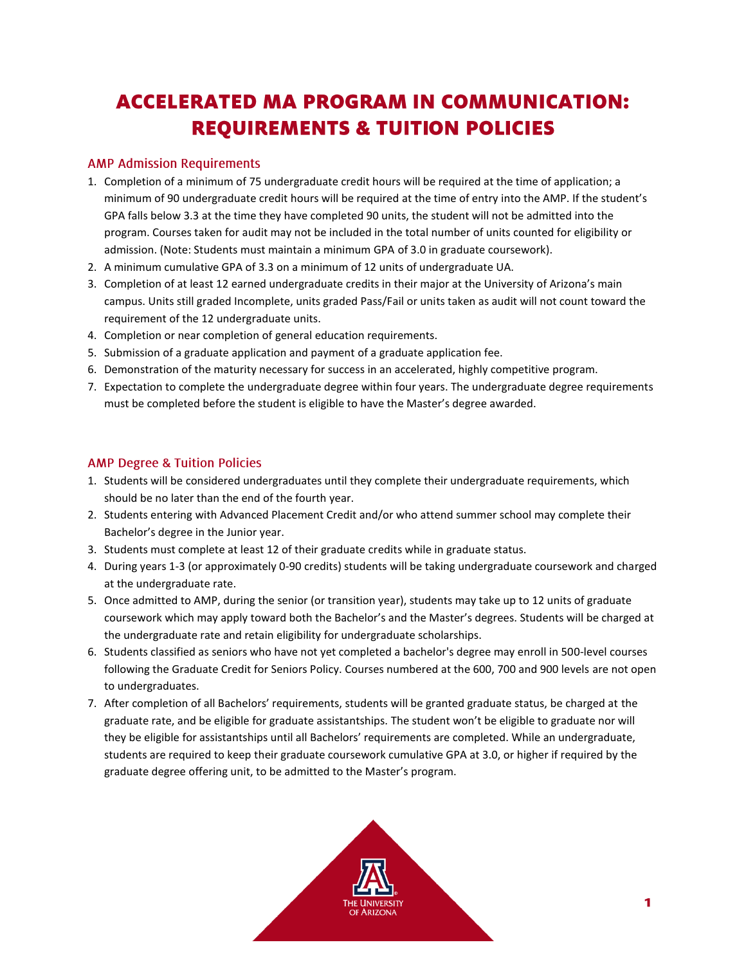## **ACCELERATED MA PROGRAM IN COMMUNICATION: REQUIREMENTS & TUITION POLICIES**

## **AMP Admission Requirements**

- 1. Completion of a minimum of 75 undergraduate credit hours will be required at the time of application; a minimum of 90 undergraduate credit hours will be required at the time of entry into the AMP. If the student's GPA falls below 3.3 at the time they have completed 90 units, the student will not be admitted into the program. Courses taken for audit may not be included in the total number of units counted for eligibility or admission. (Note: Students must maintain a minimum GPA of 3.0 in graduate coursework).
- 2. A minimum cumulative GPA of 3.3 on a minimum of 12 units of undergraduate UA.
- 3. Completion of at least 12 earned undergraduate credits in their major at the University of Arizona's main campus. Units still graded Incomplete, units graded Pass/Fail or units taken as audit will not count toward the requirement of the 12 undergraduate units.
- 4. Completion or near completion of general education requirements.
- 5. Submission of a graduate application and payment of a graduate application fee.
- 6. Demonstration of the maturity necessary for success in an accelerated, highly competitive program.
- 7. Expectation to complete the undergraduate degree within four years. The undergraduate degree requirements must be completed before the student is eligible to have the Master's degree awarded.

## **AMP Degree & Tuition Policies**

- 1. Students will be considered undergraduates until they complete their undergraduate requirements, which should be no later than the end of the fourth year.
- 2. Students entering with Advanced Placement Credit and/or who attend summer school may complete their Bachelor's degree in the Junior year.
- 3. Students must complete at least 12 of their graduate credits while in graduate status.
- 4. During years 1-3 (or approximately 0-90 credits) students will be taking undergraduate coursework and charged at the undergraduate rate.
- 5. Once admitted to AMP, during the senior (or transition year), students may take up to 12 units of graduate coursework which may apply toward both the Bachelor's and the Master's degrees. Students will be charged at the undergraduate rate and retain eligibility for undergraduate scholarships.
- 6. Students classified as seniors who have not yet completed a bachelor's degree may enroll in 500-level courses following the Graduate Credit for Seniors Policy. Courses numbered at the 600, 700 and 900 levels are not open to undergraduates.
- 7. After completion of all Bachelors' requirements, students will be granted graduate status, be charged at the graduate rate, and be eligible for graduate assistantships. The student won't be eligible to graduate nor will they be eligible for assistantships until all Bachelors' requirements are completed. While an undergraduate, students are required to keep their graduate coursework cumulative GPA at 3.0, or higher if required by the graduate degree offering unit, to be admitted to the Master's program.